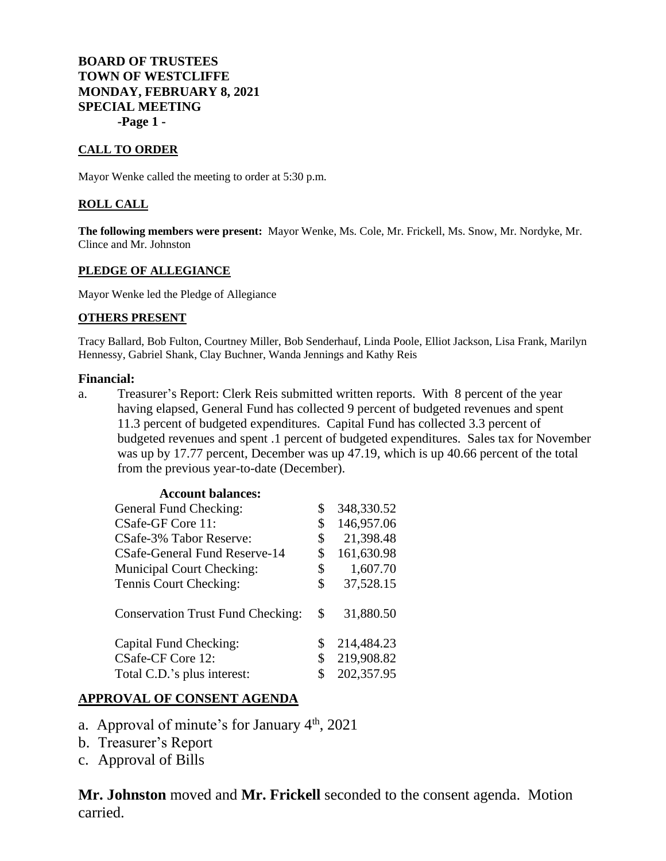# **BOARD OF TRUSTEES TOWN OF WESTCLIFFE MONDAY, FEBRUARY 8, 2021 SPECIAL MEETING -Page 1 -**

#### **CALL TO ORDER**

Mayor Wenke called the meeting to order at 5:30 p.m.

## **ROLL CALL**

**The following members were present:** Mayor Wenke, Ms. Cole, Mr. Frickell, Ms. Snow, Mr. Nordyke, Mr. Clince and Mr. Johnston

#### **PLEDGE OF ALLEGIANCE**

Mayor Wenke led the Pledge of Allegiance

#### **OTHERS PRESENT**

Tracy Ballard, Bob Fulton, Courtney Miller, Bob Senderhauf, Linda Poole, Elliot Jackson, Lisa Frank, Marilyn Hennessy, Gabriel Shank, Clay Buchner, Wanda Jennings and Kathy Reis

## **Financial:**

a. Treasurer's Report: Clerk Reis submitted written reports. With 8 percent of the year having elapsed, General Fund has collected 9 percent of budgeted revenues and spent 11.3 percent of budgeted expenditures. Capital Fund has collected 3.3 percent of budgeted revenues and spent .1 percent of budgeted expenditures. Sales tax for November was up by 17.77 percent, December was up 47.19, which is up 40.66 percent of the total from the previous year-to-date (December).

| \$<br>348,330.52 |
|------------------|
| \$<br>146,957.06 |
| \$<br>21,398.48  |
| \$<br>161,630.98 |
| \$<br>1,607.70   |
| \$<br>37,528.15  |
| \$<br>31,880.50  |
| \$<br>214,484.23 |
| \$<br>219,908.82 |
| \$<br>202,357.95 |
|                  |

# **APPROVAL OF CONSENT AGENDA**

- a. Approval of minute's for January  $4<sup>th</sup>$ , 2021
- b. Treasurer's Report
- c. Approval of Bills

**Mr. Johnston** moved and **Mr. Frickell** seconded to the consent agenda. Motion carried.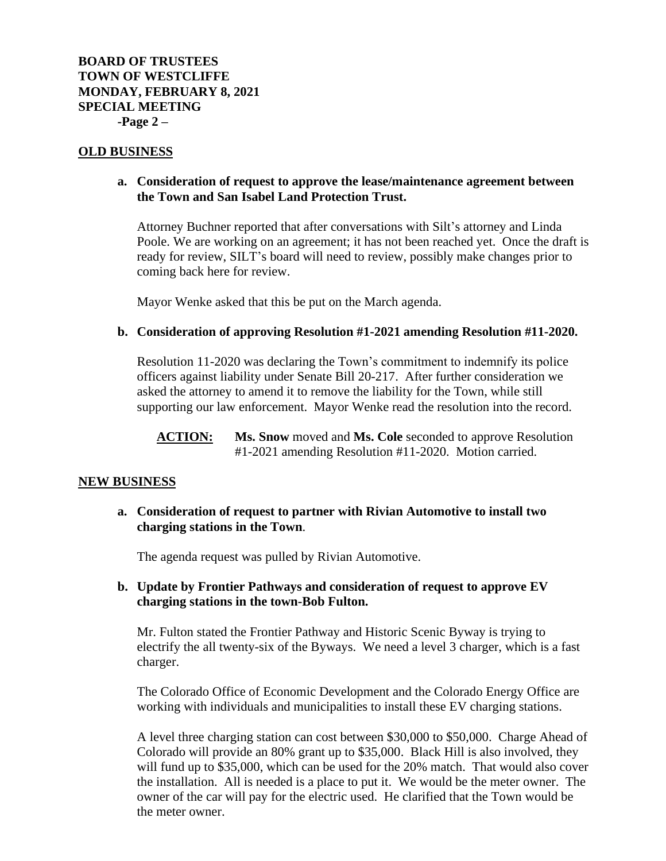## **OLD BUSINESS**

## **a. Consideration of request to approve the lease/maintenance agreement between the Town and San Isabel Land Protection Trust.**

Attorney Buchner reported that after conversations with Silt's attorney and Linda Poole. We are working on an agreement; it has not been reached yet. Once the draft is ready for review, SILT's board will need to review, possibly make changes prior to coming back here for review.

Mayor Wenke asked that this be put on the March agenda.

#### **b. Consideration of approving Resolution #1-2021 amending Resolution #11-2020.**

Resolution 11-2020 was declaring the Town's commitment to indemnify its police officers against liability under Senate Bill 20-217. After further consideration we asked the attorney to amend it to remove the liability for the Town, while still supporting our law enforcement. Mayor Wenke read the resolution into the record.

**ACTION: Ms. Snow** moved and **Ms. Cole** seconded to approve Resolution #1-2021 amending Resolution #11-2020. Motion carried.

#### **NEW BUSINESS**

**a. Consideration of request to partner with Rivian Automotive to install two charging stations in the Town**.

The agenda request was pulled by Rivian Automotive.

**b. Update by Frontier Pathways and consideration of request to approve EV charging stations in the town-Bob Fulton.**

Mr. Fulton stated the Frontier Pathway and Historic Scenic Byway is trying to electrify the all twenty-six of the Byways. We need a level 3 charger, which is a fast charger.

The Colorado Office of Economic Development and the Colorado Energy Office are working with individuals and municipalities to install these EV charging stations.

A level three charging station can cost between \$30,000 to \$50,000. Charge Ahead of Colorado will provide an 80% grant up to \$35,000. Black Hill is also involved, they will fund up to \$35,000, which can be used for the 20% match. That would also cover the installation. All is needed is a place to put it. We would be the meter owner. The owner of the car will pay for the electric used. He clarified that the Town would be the meter owner.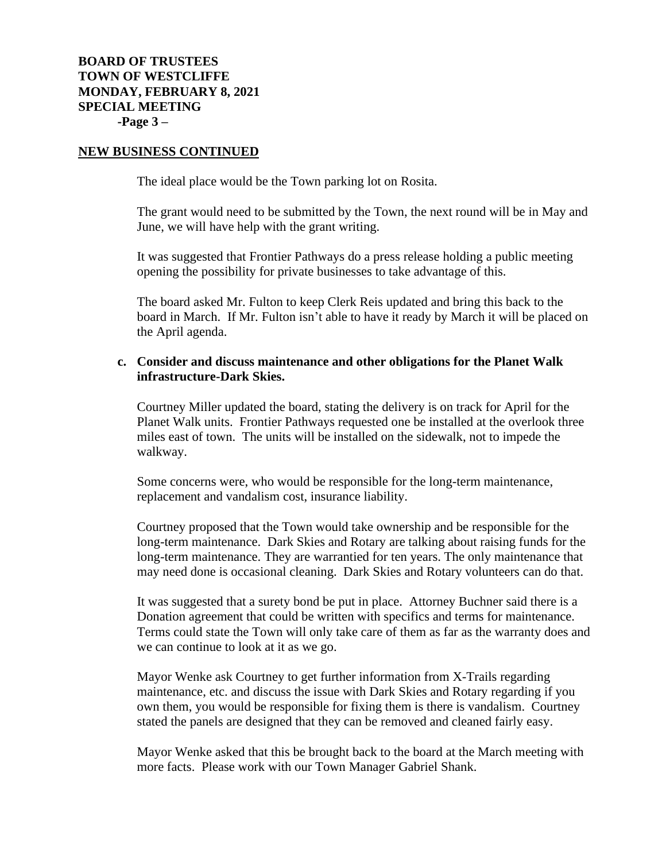#### **NEW BUSINESS CONTINUED**

The ideal place would be the Town parking lot on Rosita.

The grant would need to be submitted by the Town, the next round will be in May and June, we will have help with the grant writing.

It was suggested that Frontier Pathways do a press release holding a public meeting opening the possibility for private businesses to take advantage of this.

The board asked Mr. Fulton to keep Clerk Reis updated and bring this back to the board in March. If Mr. Fulton isn't able to have it ready by March it will be placed on the April agenda.

## **c. Consider and discuss maintenance and other obligations for the Planet Walk infrastructure-Dark Skies.**

Courtney Miller updated the board, stating the delivery is on track for April for the Planet Walk units. Frontier Pathways requested one be installed at the overlook three miles east of town. The units will be installed on the sidewalk, not to impede the walkway.

Some concerns were, who would be responsible for the long-term maintenance, replacement and vandalism cost, insurance liability.

Courtney proposed that the Town would take ownership and be responsible for the long-term maintenance. Dark Skies and Rotary are talking about raising funds for the long-term maintenance. They are warrantied for ten years. The only maintenance that may need done is occasional cleaning. Dark Skies and Rotary volunteers can do that.

It was suggested that a surety bond be put in place. Attorney Buchner said there is a Donation agreement that could be written with specifics and terms for maintenance. Terms could state the Town will only take care of them as far as the warranty does and we can continue to look at it as we go.

Mayor Wenke ask Courtney to get further information from X-Trails regarding maintenance, etc. and discuss the issue with Dark Skies and Rotary regarding if you own them, you would be responsible for fixing them is there is vandalism. Courtney stated the panels are designed that they can be removed and cleaned fairly easy.

Mayor Wenke asked that this be brought back to the board at the March meeting with more facts. Please work with our Town Manager Gabriel Shank.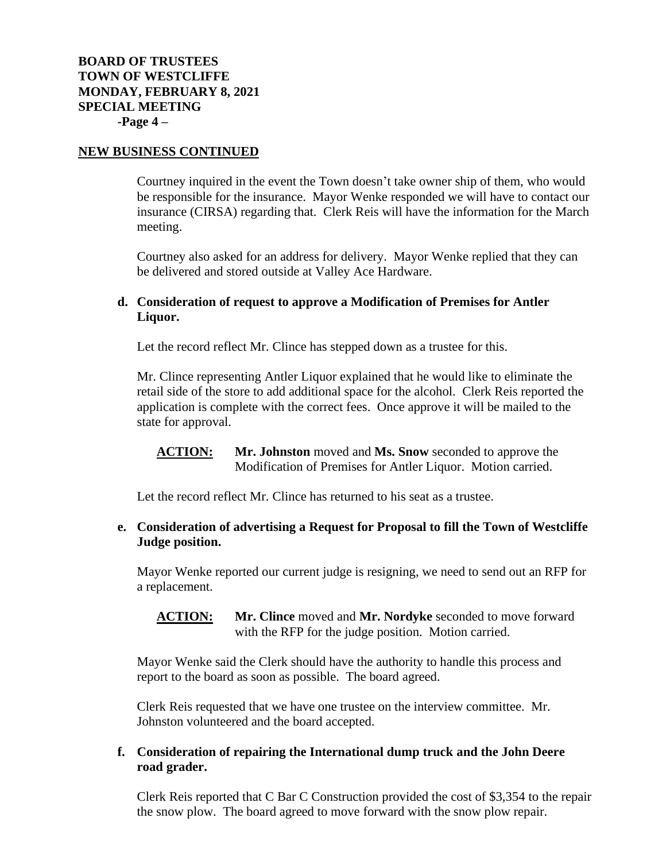## **NEW BUSINESS CONTINUED**

Courtney inquired in the event the Town doesn't take owner ship of them, who would be responsible for the insurance. Mayor Wenke responded we will have to contact our insurance (CIRSA) regarding that. Clerk Reis will have the information for the March meeting.

Courtney also asked for an address for delivery. Mayor Wenke replied that they can be delivered and stored outside at Valley Ace Hardware.

# **d. Consideration of request to approve a Modification of Premises for Antler Liquor.**

Let the record reflect Mr. Clince has stepped down as a trustee for this.

Mr. Clince representing Antler Liquor explained that he would like to eliminate the retail side of the store to add additional space for the alcohol. Clerk Reis reported the application is complete with the correct fees. Once approve it will be mailed to the state for approval.

**ACTION: Mr. Johnston** moved and **Ms. Snow** seconded to approve the Modification of Premises for Antler Liquor. Motion carried.

Let the record reflect Mr. Clince has returned to his seat as a trustee.

# **e. Consideration of advertising a Request for Proposal to fill the Town of Westcliffe Judge position.**

Mayor Wenke reported our current judge is resigning, we need to send out an RFP for a replacement.

**ACTION: Mr. Clince** moved and **Mr. Nordyke** seconded to move forward with the RFP for the judge position. Motion carried.

Mayor Wenke said the Clerk should have the authority to handle this process and report to the board as soon as possible. The board agreed.

Clerk Reis requested that we have one trustee on the interview committee. Mr. Johnston volunteered and the board accepted.

# **f. Consideration of repairing the International dump truck and the John Deere road grader.**

Clerk Reis reported that C Bar C Construction provided the cost of \$3,354 to the repair the snow plow. The board agreed to move forward with the snow plow repair.